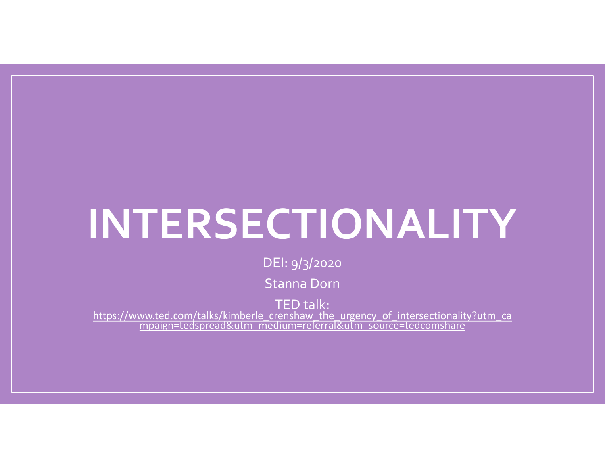## INTERSECTIONALITY

DEI: 9/3/2020

Stanna Dorn

TED talk:

https://www.ted.com/talks/kimberle\_crenshaw\_the\_urgency\_of\_intersectionality?utm\_ca mpaign=tedspread&utm\_medium=referral&utm\_source=tedcomshare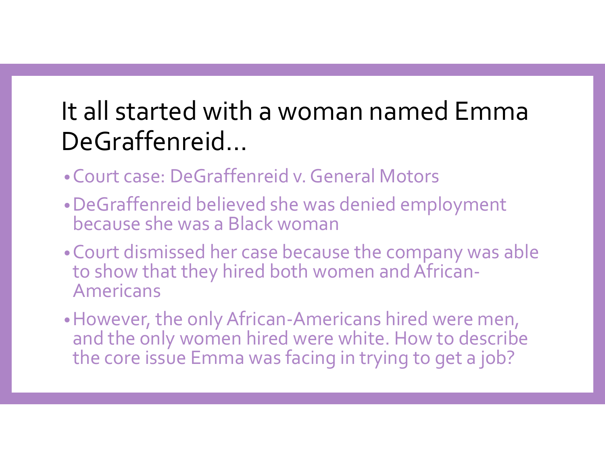# It all started with a woman named Emma DeGraffenreid… **It all started with a woman named Emma**<br>De**Graffenreid...**<br>•Court case: DeGraffenreid v. General Motors<br>•DeGraffenreid believed she was denied employment<br>because she was a Black woman **It all started with a woman named Emma**<br> **DeGraffenreid...**<br>•Court case: DeGraffenreid v. General Motors<br>•DeGraffenreid believed she was denied employment<br>•Court dismissed her case because the company was able<br>•Court dism

- 
- because she was a Black woman
- •Court dismissed her case because the company was able to show that they hired both women and African-Americans
- •However, the only African-Americans hired were men, and the only women hired were white. How to describe the core issue Emma was facing in trying to get a job?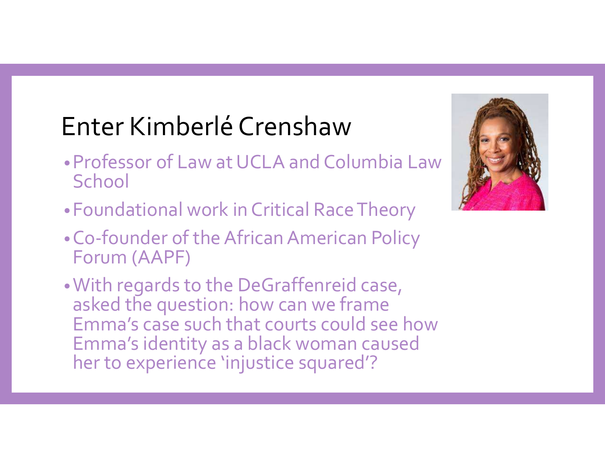- Enter Kimberlé Crenshaw<br>• Professor of Law at UCLA and Columbia Law •Professor of Law at UCLA and Columbia Law **School**
- •Foundational work in Critical Race Theory
- •Co-founder of the African American Policy Forum (AAPF)
- **Enter Kimberlé Crenshaw<br>•Professor of Law at UCLA and Columbia Law<br>•Co-foundational work in Critical Race Theory<br>•Co-founder of the African American Policy<br>•Co-founder of the African American Policy<br>•Corrum (AAPF)<br>•With r** asked the question: how can we frame<br>Emma's case such that courts could see how Emma's identity as a black woman caused her to experience 'injustice squared'?

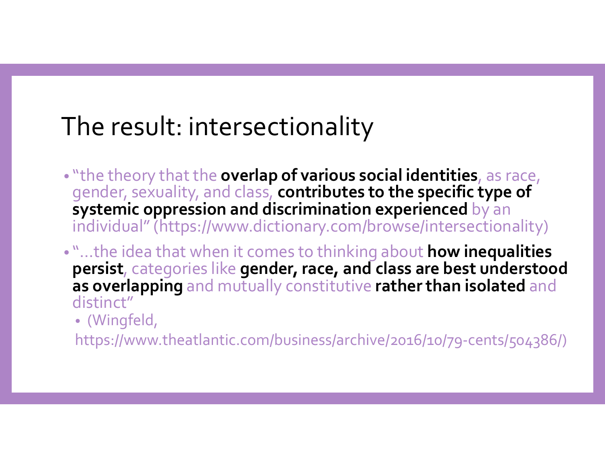#### The result: intersectionality

- "the theory that the overlap of various social identities, as race, gender, sexuality, and class, contributes to the specific type of systemic oppression and discrimination experienced by an individual" (https://www.dictionary.com/browse/intersectionality)
- "... the idea that when it comes to thinking about how inequalities persist, categories like gender, race, and class are best understood as overlapping and mutually constitutive rather than isolated and distinct"
	- (Wingfeld,

https://www.theatlantic.com/business/archive/2016/10/79-cents/504386/)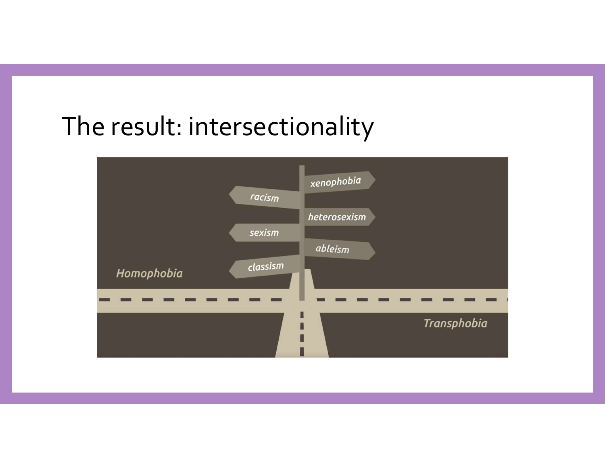#### The result: intersectionality

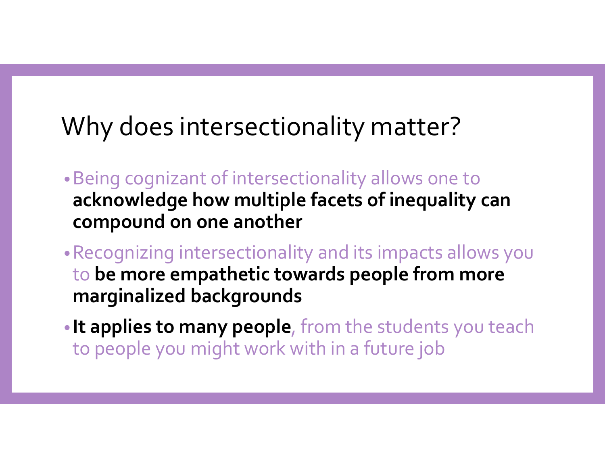#### Why does intersectionality matter?

- •Being cognizant of intersectionality allows one to acknowledge how multiple facets of inequality can compound on one another
- •Recognizing intersectionality and its impacts allows you to be more empathetic towards people from more marginalized backgrounds • Being cognizant of intersectionality allows one to<br> **acknowledge how multiple facets of inequality can**<br> **compound on one another**<br>
• Recognizing intersectionality and its impacts allows you<br>
to **be more empathetic towar**
- to people you might work with in a future job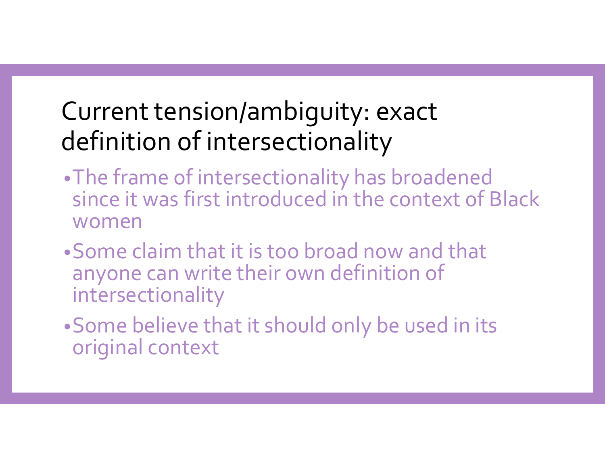#### Current tension/ambiguity: exact definition of intersectionality

- •The frame of intersectionality has broadened since it was first introduced in the context of Black women
- •Some claim that it is too broad now and that anyone can write their own definition of intersectionality
- •Some believe that it should only be used in its original context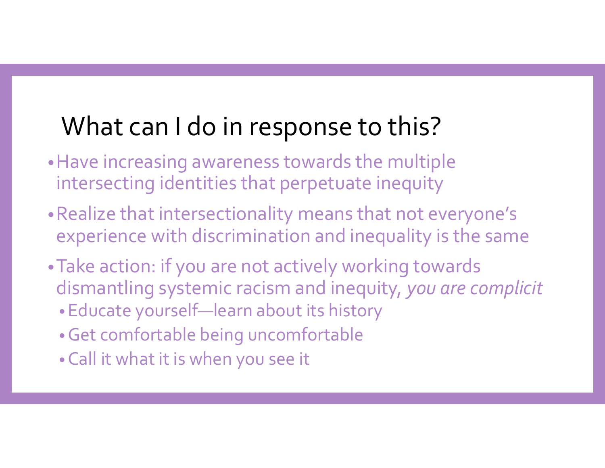#### What can I do in response to this?

- •Have increasing awareness towards the multiple intersecting identities that perpetuate inequity
- •Realize that intersectionality means that not everyone's experience with discrimination and inequality is the same
- •Take action: if you are not actively working towards dismantling systemic racism and inequity, you are complicit
	- •Educate yourself—learn about its history
	- •Get comfortable being uncomfortable
	- •Call it what it is when you see it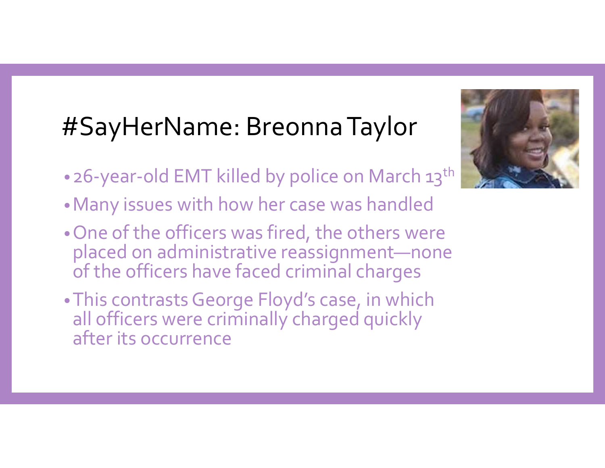### #SayHerName: Breonna Taylor

- 26-year-old EMT killed by police on March 13<sup>th</sup>
- •Many issues with how her case was handled
- •One of the officers was fired, the others were placed on administrative reassignment—none of the officers have faced criminal charges
- •This contrasts George Floyd's case, in which all officers were criminally charged quickly after its occurrence